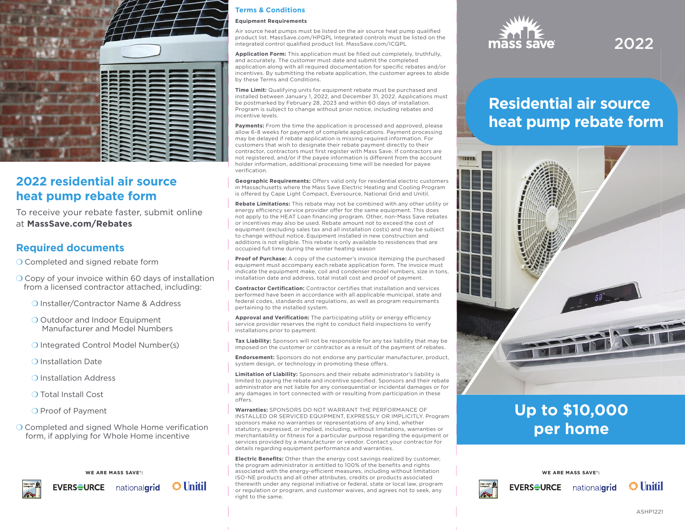

## **2022 residential air source heat pump rebate form**

To receive your rebate faster, submit online at **MassSave.com/Rebates**

## **Required documents**

O Completed and signed rebate form

- O Copy of your invoice within 60 days of installation from a licensed contractor attached, including:
	- ❍ Installer/Contractor Name & Address
	- O Outdoor and Indoor Equipment Manufacturer and Model Numbers
	- ❍ Integrated Control Model Number(s)
	- ❍ Installation Date
	- ❍ Installation Address
	- ❍ Total Install Cost
	- O Proof of Payment
- $\bigcirc$  Completed and signed Whole Home verification form, if applying for Whole Home incentive



### **Terms & Conditions**

#### **Equipment Requirements**

Air source heat pumps must be listed on the air source heat pump qualified product list. MassSave.com/HPQPL Integrated controls must be listed on the integrated control qualified product list. MassSave.com/ICQPL

Application Form: This application must be filled out completely, truthfully, and accurately. The customer must date and submit the completed application along with all required documentation for specific rebates and/or incentives. By submitting the rebate application, the customer agrees to abide by these Terms and Conditions.

**Time Limit:** Qualifying units for equipment rebate must be purchased and installed between January 1, 2022, and December 31, 2022. Applications must be postmarked by February 28, 2023 and within 60 days of installation. Program is subject to change without prior notice, including rebates and incentive levels.

Payments: From the time the application is processed and approved, please allow 6-8 weeks for payment of complete applications. Payment processing may be delayed if rebate application is missing required information. For customers that wish to designate their rebate payment directly to their contractor, contractors must first register with Mass Save. If contractors are not registered, and/or if the payee information is different from the account holder information, additional processing time will be needed for payee verification

**Geographic Requirements:** Offers valid only for residential electric customers in Massachusetts where the Mass Save Electric Heating and Cooling Program is offered by Cape Light Compact, Eversource, National Grid and Unitil.

**Rebate Limitations:** This rebate may not be combined with any other utility or energy efficiency service provider offer for the same equipment. This does not apply to the HEAT Loan financing program. Other, non-Mass Save rebates or incentives may also be used. Rebate amount not to exceed the cost of equipment (excluding sales tax and all installation costs) and may be subject to change without notice. Equipment installed in new construction and additions is not eligible. This rebate is only available to residences that are occupied full time during the winter heating season

**Proof of Purchase:** A copy of the customer's invoice itemizing the purchased equipment must accompany each rebate application form. The invoice must indicate the equipment make, coil and condenser model numbers, size in tons, installation date and address, total install cost and proof of payment.

**Contractor Certification:** Contractor certifies that installation and services performed have been in accordance with all applicable municipal, state and federal codes, standards and regulations, as well as program requirements pertaining to the installed system.

**Approval and Verification:** The participating utility or energy efficiency service provider reserves the right to conduct field inspections to verify installations prior to payment.

**Tax Liability:** Sponsors will not be responsible for any tax liability that may be imposed on the customer or contractor as a result of the payment of rebates.

**Endorsement:** Sponsors do not endorse any particular manufacturer, product, system design, or technology in promoting these offers.

**Limitation of Liability:** Sponsors and their rebate administrator's liability is limited to paying the rebate and incentive specified. Sponsors and their rebate administrator are not liable for any consequential or incidental damages or for any damages in tort connected with or resulting from participation in these offers.

**Warranties:** SPONSORS DO NOT WARRANT THE PERFORMANCE OF INSTALLED OR SERVICED EQUIPMENT, EXPRESSLY OR IMPLICITLY. Program sponsors make no warranties or representations of any kind, whether statutory, expressed, or implied, including, without limitations, warranties or merchantability or fitness for a particular purpose regarding the equipment or services provided by a manufacturer or vendor. Contact your contractor for details regarding equipment performance and warranties.

**Electric Benefits:** Other than the energy cost savings realized by customer, the program administrator is entitled to 100% of the benefits and rights  $\blacksquare$  associated with the energy-efficient measures, including without limitation  $\blacksquare$  **WE ARE MASS SAVE**  $\blacksquare$ ISO-NE products and all other attributes, credits or products associated therewith under any regional initiative or federal, state or local law, program or regulation or program, and customer waives, and agrees not to seek, any right to the same.



# 2022

# **Residential air source heat pump rebate form**



# **Up to \$10,000 per home**